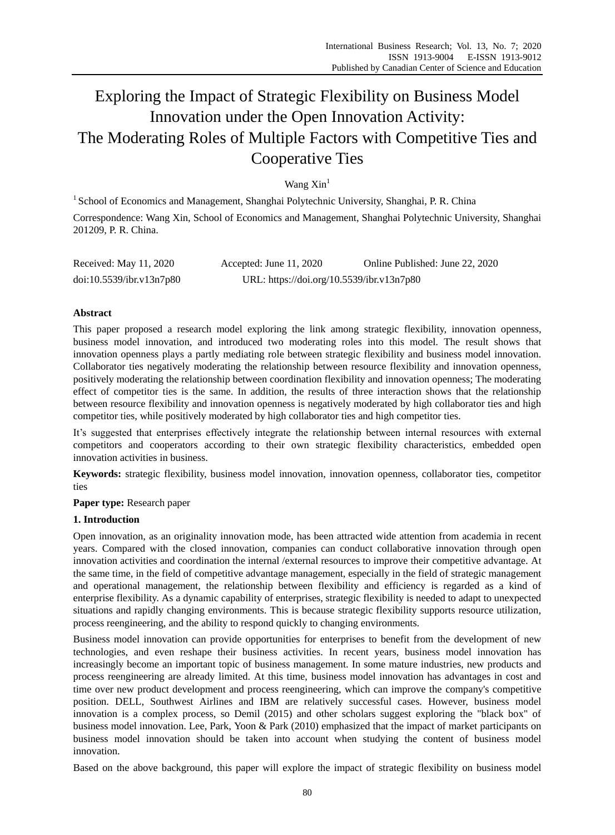# Exploring the Impact of Strategic Flexibility on Business Model Innovation under the Open Innovation Activity: The Moderating Roles of Multiple Factors with Competitive Ties and Cooperative Ties

# Wang Xin<sup>1</sup>

<sup>1</sup> School of Economics and Management, Shanghai Polytechnic University, Shanghai, P. R. China

Correspondence: Wang Xin, School of Economics and Management, Shanghai Polytechnic University, Shanghai 201209, P. R. China.

| Received: May 11, 2020   | Accepted: June 11, $2020$                 | Online Published: June 22, 2020 |
|--------------------------|-------------------------------------------|---------------------------------|
| doi:10.5539/ibr.v13n7p80 | URL: https://doi.org/10.5539/ibr.v13n7p80 |                                 |

# **Abstract**

This paper proposed a research model exploring the link among strategic flexibility, innovation openness, business model innovation, and introduced two moderating roles into this model. The result shows that innovation openness plays a partly mediating role between strategic flexibility and business model innovation. Collaborator ties negatively moderating the relationship between resource flexibility and innovation openness, positively moderating the relationship between coordination flexibility and innovation openness; The moderating effect of competitor ties is the same. In addition, the results of three interaction shows that the relationship between resource flexibility and innovation openness is negatively moderated by high collaborator ties and high competitor ties, while positively moderated by high collaborator ties and high competitor ties.

It's suggested that enterprises effectively integrate the relationship between internal resources with external competitors and cooperators according to their own strategic flexibility characteristics, embedded open innovation activities in business.

**Keywords:** strategic flexibility, business model innovation, innovation openness, collaborator ties, competitor ties

**Paper type:** Research paper

## **1. Introduction**

Open innovation, as an originality innovation mode, has been attracted wide attention from academia in recent years. Compared with the closed innovation, companies can conduct collaborative innovation through open innovation activities and coordination the internal /external resources to improve their competitive advantage. At the same time, in the field of competitive advantage management, especially in the field of strategic management and operational management, the relationship between flexibility and efficiency is regarded as a kind of enterprise flexibility. As a dynamic capability of enterprises, strategic flexibility is needed to adapt to unexpected situations and rapidly changing environments. This is because strategic flexibility supports resource utilization, process reengineering, and the ability to respond quickly to changing environments.

Business model innovation can provide opportunities for enterprises to benefit from the development of new technologies, and even reshape their business activities. In recent years, business model innovation has increasingly become an important topic of business management. In some mature industries, new products and process reengineering are already limited. At this time, business model innovation has advantages in cost and time over new product development and process reengineering, which can improve the company's competitive position. DELL, Southwest Airlines and IBM are relatively successful cases. However, business model innovation is a complex process, so Demil (2015) and other scholars suggest exploring the "black box" of business model innovation. Lee, Park, Yoon & Park (2010) emphasized that the impact of market participants on business model innovation should be taken into account when studying the content of business model innovation.

Based on the above background, this paper will explore the impact of strategic flexibility on business model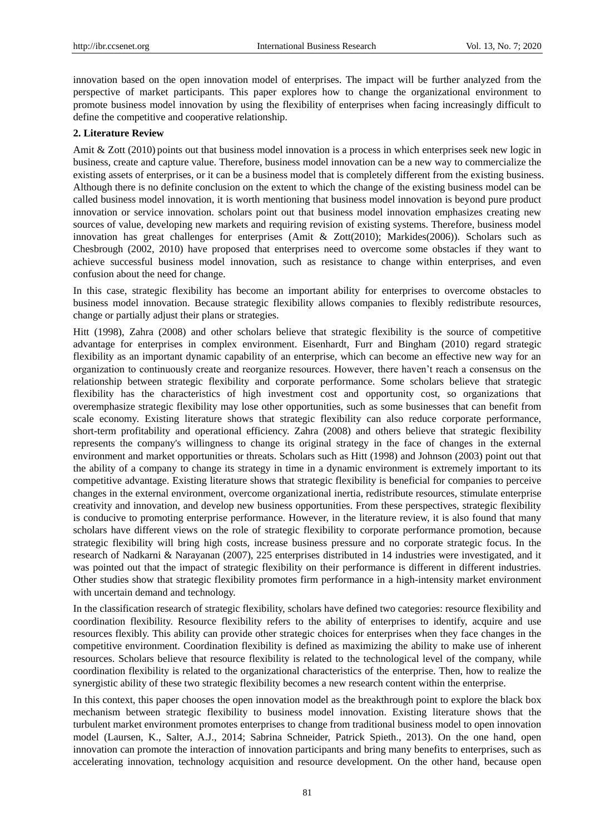innovation based on the open innovation model of enterprises. The impact will be further analyzed from the perspective of market participants. This paper explores how to change the organizational environment to promote business model innovation by using the flexibility of enterprises when facing increasingly difficult to define the competitive and cooperative relationship.

## **2. Literature Review**

Amit & Zott (2010) points out that business model innovation is a process in which enterprises seek new logic in business, create and capture value. Therefore, business model innovation can be a new way to commercialize the existing assets of enterprises, or it can be a business model that is completely different from the existing business. Although there is no definite conclusion on the extent to which the change of the existing business model can be called business model innovation, it is worth mentioning that business model innovation is beyond pure product innovation or service innovation. scholars point out that business model innovation emphasizes creating new sources of value, developing new markets and requiring revision of existing systems. Therefore, business model innovation has great challenges for enterprises (Amit & Zott(2010); Markides(2006)). Scholars such as Chesbrough (2002, 2010) have proposed that enterprises need to overcome some obstacles if they want to achieve successful business model innovation, such as resistance to change within enterprises, and even confusion about the need for change.

In this case, strategic flexibility has become an important ability for enterprises to overcome obstacles to business model innovation. Because strategic flexibility allows companies to flexibly redistribute resources, change or partially adjust their plans or strategies.

Hitt (1998), Zahra (2008) and other scholars believe that strategic flexibility is the source of competitive advantage for enterprises in complex environment. Eisenhardt, Furr and Bingham (2010) regard strategic flexibility as an important dynamic capability of an enterprise, which can become an effective new way for an organization to continuously create and reorganize resources. However, there haven't reach a consensus on the relationship between strategic flexibility and corporate performance. Some scholars believe that strategic flexibility has the characteristics of high investment cost and opportunity cost, so organizations that overemphasize strategic flexibility may lose other opportunities, such as some businesses that can benefit from scale economy. Existing literature shows that strategic flexibility can also reduce corporate performance, short-term profitability and operational efficiency. Zahra (2008) and others believe that strategic flexibility represents the company's willingness to change its original strategy in the face of changes in the external environment and market opportunities or threats. Scholars such as Hitt (1998) and Johnson (2003) point out that the ability of a company to change its strategy in time in a dynamic environment is extremely important to its competitive advantage. Existing literature shows that strategic flexibility is beneficial for companies to perceive changes in the external environment, overcome organizational inertia, redistribute resources, stimulate enterprise creativity and innovation, and develop new business opportunities. From these perspectives, strategic flexibility is conducive to promoting enterprise performance. However, in the literature review, it is also found that many scholars have different views on the role of strategic flexibility to corporate performance promotion, because strategic flexibility will bring high costs, increase business pressure and no corporate strategic focus. In the research of Nadkarni & Narayanan (2007), 225 enterprises distributed in 14 industries were investigated, and it was pointed out that the impact of strategic flexibility on their performance is different in different industries. Other studies show that strategic flexibility promotes firm performance in a high-intensity market environment with uncertain demand and technology.

In the classification research of strategic flexibility, scholars have defined two categories: resource flexibility and coordination flexibility. Resource flexibility refers to the ability of enterprises to identify, acquire and use resources flexibly. This ability can provide other strategic choices for enterprises when they face changes in the competitive environment. Coordination flexibility is defined as maximizing the ability to make use of inherent resources. Scholars believe that resource flexibility is related to the technological level of the company, while coordination flexibility is related to the organizational characteristics of the enterprise. Then, how to realize the synergistic ability of these two strategic flexibility becomes a new research content within the enterprise.

In this context, this paper chooses the open innovation model as the breakthrough point to explore the black box mechanism between strategic flexibility to business model innovation. Existing literature shows that the turbulent market environment promotes enterprises to change from traditional business model to open innovation model (Laursen, K., Salter, A.J., 2014; Sabrina Schneider, Patrick Spieth., 2013). On the one hand, open innovation can promote the interaction of innovation participants and bring many benefits to enterprises, such as accelerating innovation, technology acquisition and resource development. On the other hand, because open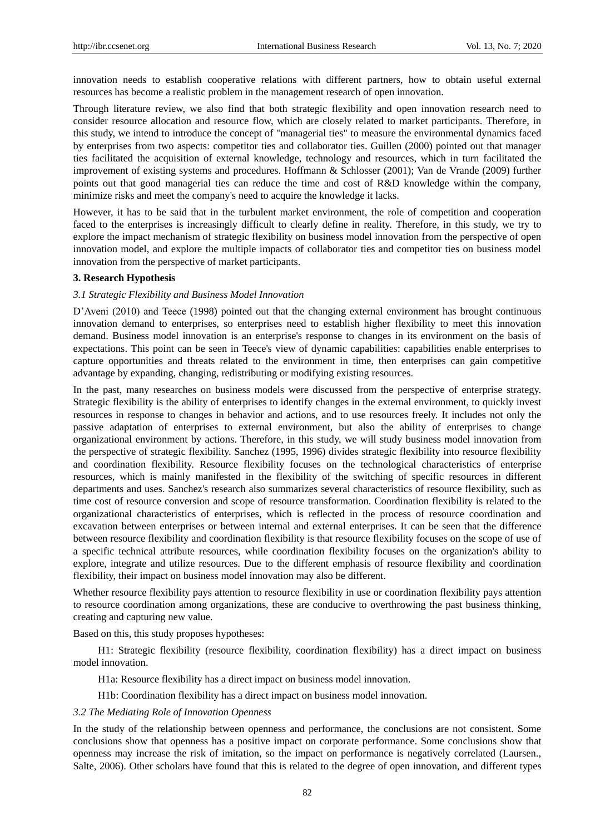innovation needs to establish cooperative relations with different partners, how to obtain useful external resources has become a realistic problem in the management research of open innovation.

Through literature review, we also find that both strategic flexibility and open innovation research need to consider resource allocation and resource flow, which are closely related to market participants. Therefore, in this study, we intend to introduce the concept of "managerial ties" to measure the environmental dynamics faced by enterprises from two aspects: competitor ties and collaborator ties. Guillen (2000) pointed out that manager ties facilitated the acquisition of external knowledge, technology and resources, which in turn facilitated the improvement of existing systems and procedures. Hoffmann & Schlosser (2001); Van de Vrande (2009) further points out that good managerial ties can reduce the time and cost of R&D knowledge within the company, minimize risks and meet the company's need to acquire the knowledge it lacks.

However, it has to be said that in the turbulent market environment, the role of competition and cooperation faced to the enterprises is increasingly difficult to clearly define in reality. Therefore, in this study, we try to explore the impact mechanism of strategic flexibility on business model innovation from the perspective of open innovation model, and explore the multiple impacts of collaborator ties and competitor ties on business model innovation from the perspective of market participants.

# **3. Research Hypothesis**

## *3.1 Strategic Flexibility and Business Model Innovation*

D'Aveni (2010) and Teece (1998) pointed out that the changing external environment has brought continuous innovation demand to enterprises, so enterprises need to establish higher flexibility to meet this innovation demand. Business model innovation is an enterprise's response to changes in its environment on the basis of expectations. This point can be seen in Teece's view of dynamic capabilities: capabilities enable enterprises to capture opportunities and threats related to the environment in time, then enterprises can gain competitive advantage by expanding, changing, redistributing or modifying existing resources.

In the past, many researches on business models were discussed from the perspective of enterprise strategy. Strategic flexibility is the ability of enterprises to identify changes in the external environment, to quickly invest resources in response to changes in behavior and actions, and to use resources freely. It includes not only the passive adaptation of enterprises to external environment, but also the ability of enterprises to change organizational environment by actions. Therefore, in this study, we will study business model innovation from the perspective of strategic flexibility. Sanchez (1995, 1996) divides strategic flexibility into resource flexibility and coordination flexibility. Resource flexibility focuses on the technological characteristics of enterprise resources, which is mainly manifested in the flexibility of the switching of specific resources in different departments and uses. Sanchez's research also summarizes several characteristics of resource flexibility, such as time cost of resource conversion and scope of resource transformation. Coordination flexibility is related to the organizational characteristics of enterprises, which is reflected in the process of resource coordination and excavation between enterprises or between internal and external enterprises. It can be seen that the difference between resource flexibility and coordination flexibility is that resource flexibility focuses on the scope of use of a specific technical attribute resources, while coordination flexibility focuses on the organization's ability to explore, integrate and utilize resources. Due to the different emphasis of resource flexibility and coordination flexibility, their impact on business model innovation may also be different.

Whether resource flexibility pays attention to resource flexibility in use or coordination flexibility pays attention to resource coordination among organizations, these are conducive to overthrowing the past business thinking, creating and capturing new value.

Based on this, this study proposes hypotheses:

H1: Strategic flexibility (resource flexibility, coordination flexibility) has a direct impact on business model innovation.

H1a: Resource flexibility has a direct impact on business model innovation.

H1b: Coordination flexibility has a direct impact on business model innovation.

#### *3.2 The Mediating Role of Innovation Openness*

In the study of the relationship between openness and performance, the conclusions are not consistent. Some conclusions show that openness has a positive impact on corporate performance. Some conclusions show that openness may increase the risk of imitation, so the impact on performance is negatively correlated (Laursen., Salte, 2006). Other scholars have found that this is related to the degree of open innovation, and different types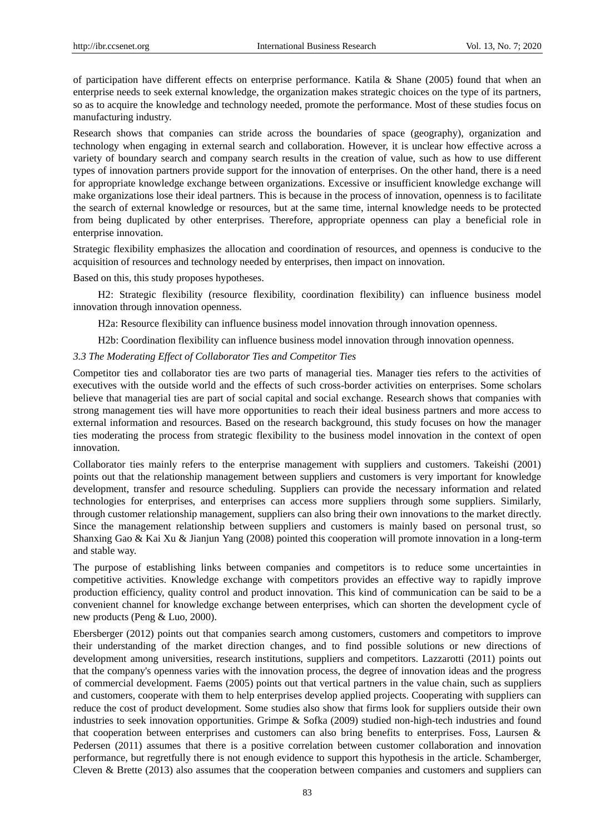of participation have different effects on enterprise performance. Katila & Shane (2005) found that when an enterprise needs to seek external knowledge, the organization makes strategic choices on the type of its partners, so as to acquire the knowledge and technology needed, promote the performance. Most of these studies focus on manufacturing industry.

Research shows that companies can stride across the boundaries of space (geography), organization and technology when engaging in external search and collaboration. However, it is unclear how effective across a variety of boundary search and company search results in the creation of value, such as how to use different types of innovation partners provide support for the innovation of enterprises. On the other hand, there is a need for appropriate knowledge exchange between organizations. Excessive or insufficient knowledge exchange will make organizations lose their ideal partners. This is because in the process of innovation, openness is to facilitate the search of external knowledge or resources, but at the same time, internal knowledge needs to be protected from being duplicated by other enterprises. Therefore, appropriate openness can play a beneficial role in enterprise innovation.

Strategic flexibility emphasizes the allocation and coordination of resources, and openness is conducive to the acquisition of resources and technology needed by enterprises, then impact on innovation.

Based on this, this study proposes hypotheses.

H2: Strategic flexibility (resource flexibility, coordination flexibility) can influence business model innovation through innovation openness.

H2a: Resource flexibility can influence business model innovation through innovation openness.

H2b: Coordination flexibility can influence business model innovation through innovation openness.

## *3.3 The Moderating Effect of Collaborator Ties and Competitor Ties*

Competitor ties and collaborator ties are two parts of managerial ties. Manager ties refers to the activities of executives with the outside world and the effects of such cross-border activities on enterprises. Some scholars believe that managerial ties are part of social capital and social exchange. Research shows that companies with strong management ties will have more opportunities to reach their ideal business partners and more access to external information and resources. Based on the research background, this study focuses on how the manager ties moderating the process from strategic flexibility to the business model innovation in the context of open innovation.

Collaborator ties mainly refers to the enterprise management with suppliers and customers. Takeishi (2001) points out that the relationship management between suppliers and customers is very important for knowledge development, transfer and resource scheduling. Suppliers can provide the necessary information and related technologies for enterprises, and enterprises can access more suppliers through some suppliers. Similarly, through customer relationship management, suppliers can also bring their own innovations to the market directly. Since the management relationship between suppliers and customers is mainly based on personal trust, so Shanxing Gao & Kai Xu & Jianjun Yang (2008) pointed this cooperation will promote innovation in a long-term and stable way.

The purpose of establishing links between companies and competitors is to reduce some uncertainties in competitive activities. Knowledge exchange with competitors provides an effective way to rapidly improve production efficiency, quality control and product innovation. This kind of communication can be said to be a convenient channel for knowledge exchange between enterprises, which can shorten the development cycle of new products (Peng & Luo, 2000).

Ebersberger (2012) points out that companies search among customers, customers and competitors to improve their understanding of the market direction changes, and to find possible solutions or new directions of development among universities, research institutions, suppliers and competitors. Lazzarotti (2011) points out that the company's openness varies with the innovation process, the degree of innovation ideas and the progress of commercial development. Faems (2005) points out that vertical partners in the value chain, such as suppliers and customers, cooperate with them to help enterprises develop applied projects. Cooperating with suppliers can reduce the cost of product development. Some studies also show that firms look for suppliers outside their own industries to seek innovation opportunities. Grimpe & Sofka (2009) studied non-high-tech industries and found that cooperation between enterprises and customers can also bring benefits to enterprises. Foss, Laursen & Pedersen (2011) assumes that there is a positive correlation between customer collaboration and innovation performance, but regretfully there is not enough evidence to support this hypothesis in the article. Schamberger, Cleven & Brette (2013) also assumes that the cooperation between companies and customers and suppliers can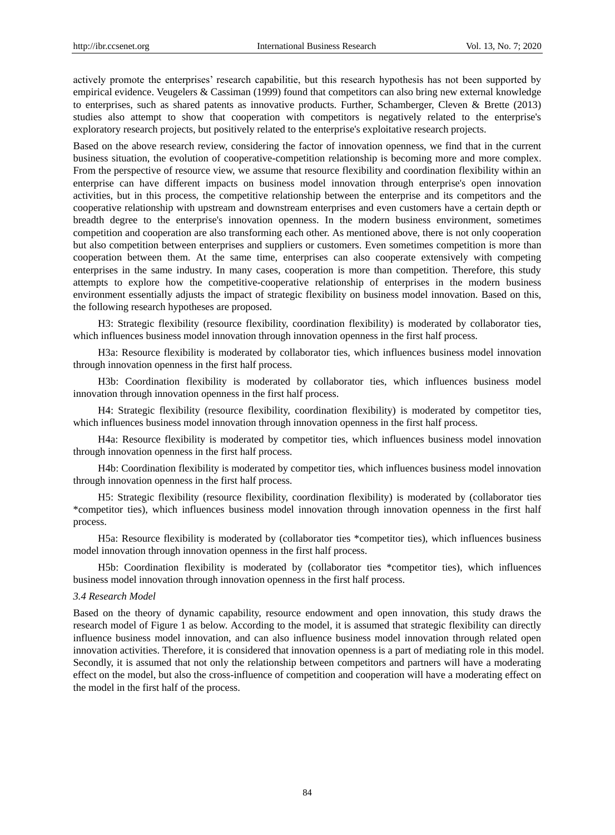actively promote the enterprises' research capabilitie, but this research hypothesis has not been supported by empirical evidence. Veugelers & Cassiman (1999) found that competitors can also bring new external knowledge to enterprises, such as shared patents as innovative products. Further, Schamberger, Cleven & Brette (2013) studies also attempt to show that cooperation with competitors is negatively related to the enterprise's exploratory research projects, but positively related to the enterprise's exploitative research projects.

Based on the above research review, considering the factor of innovation openness, we find that in the current business situation, the evolution of cooperative-competition relationship is becoming more and more complex. From the perspective of resource view, we assume that resource flexibility and coordination flexibility within an enterprise can have different impacts on business model innovation through enterprise's open innovation activities, but in this process, the competitive relationship between the enterprise and its competitors and the cooperative relationship with upstream and downstream enterprises and even customers have a certain depth or breadth degree to the enterprise's innovation openness. In the modern business environment, sometimes competition and cooperation are also transforming each other. As mentioned above, there is not only cooperation but also competition between enterprises and suppliers or customers. Even sometimes competition is more than cooperation between them. At the same time, enterprises can also cooperate extensively with competing enterprises in the same industry. In many cases, cooperation is more than competition. Therefore, this study attempts to explore how the competitive-cooperative relationship of enterprises in the modern business environment essentially adjusts the impact of strategic flexibility on business model innovation. Based on this, the following research hypotheses are proposed.

H3: Strategic flexibility (resource flexibility, coordination flexibility) is moderated by collaborator ties, which influences business model innovation through innovation openness in the first half process.

H3a: Resource flexibility is moderated by collaborator ties, which influences business model innovation through innovation openness in the first half process.

H3b: Coordination flexibility is moderated by collaborator ties, which influences business model innovation through innovation openness in the first half process.

H4: Strategic flexibility (resource flexibility, coordination flexibility) is moderated by competitor ties, which influences business model innovation through innovation openness in the first half process.

H4a: Resource flexibility is moderated by competitor ties, which influences business model innovation through innovation openness in the first half process.

H4b: Coordination flexibility is moderated by competitor ties, which influences business model innovation through innovation openness in the first half process.

H5: Strategic flexibility (resource flexibility, coordination flexibility) is moderated by (collaborator ties \*competitor ties), which influences business model innovation through innovation openness in the first half process.

H5a: Resource flexibility is moderated by (collaborator ties \*competitor ties), which influences business model innovation through innovation openness in the first half process.

H5b: Coordination flexibility is moderated by (collaborator ties \*competitor ties), which influences business model innovation through innovation openness in the first half process.

## *3.4 Research Model*

Based on the theory of dynamic capability, resource endowment and open innovation, this study draws the research model of Figure 1 as below. According to the model, it is assumed that strategic flexibility can directly influence business model innovation, and can also influence business model innovation through related open innovation activities. Therefore, it is considered that innovation openness is a part of mediating role in this model. Secondly, it is assumed that not only the relationship between competitors and partners will have a moderating effect on the model, but also the cross-influence of competition and cooperation will have a moderating effect on the model in the first half of the process.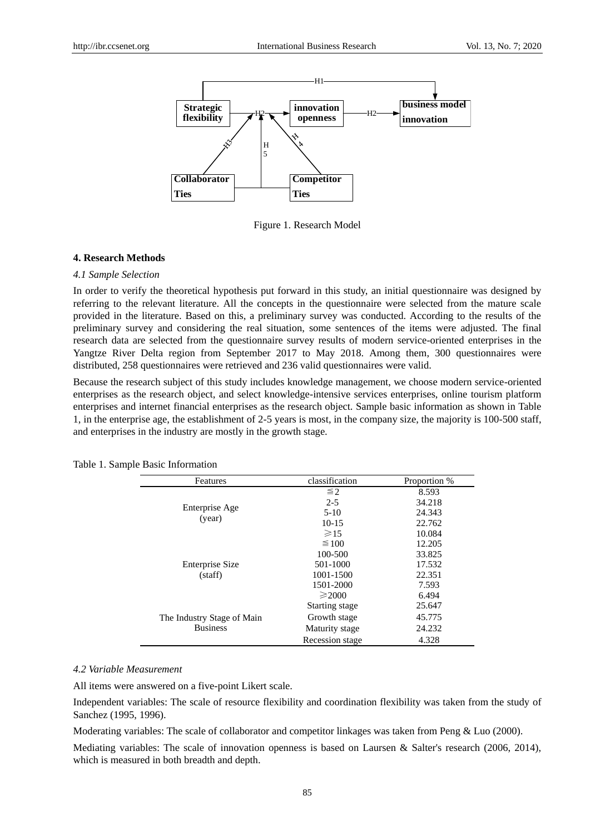

Figure 1. Research Model

## **4. Research Methods**

#### *4.1 Sample Selection*

In order to verify the theoretical hypothesis put forward in this study, an initial questionnaire was designed by referring to the relevant literature. All the concepts in the questionnaire were selected from the mature scale provided in the literature. Based on this, a preliminary survey was conducted. According to the results of the preliminary survey and considering the real situation, some sentences of the items were adjusted. The final research data are selected from the questionnaire survey results of modern service-oriented enterprises in the Yangtze River Delta region from September 2017 to May 2018. Among them, 300 questionnaires were distributed, 258 questionnaires were retrieved and 236 valid questionnaires were valid.

Because the research subject of this study includes knowledge management, we choose modern service-oriented enterprises as the research object, and select knowledge-intensive services enterprises, online tourism platform enterprises and internet financial enterprises as the research object. Sample basic information as shown in Table 1, in the enterprise age, the establishment of 2-5 years is most, in the company size, the majority is 100-500 staff, and enterprises in the industry are mostly in the growth stage.

| Features                   | classification   | Proportion % |
|----------------------------|------------------|--------------|
|                            | $\leq 2$         | 8.593        |
|                            | $2 - 5$          | 34.218       |
| Enterprise Age             | $5-10$           | 24.343       |
| (year)                     | $10 - 15$        | 22.762       |
|                            | $\geqslant$ 15   | 10.084       |
|                            | $\leq 100$       | 12.205       |
|                            | 100-500          | 33.825       |
| <b>Enterprise Size</b>     | 501-1000         | 17.532       |
| (staff)                    | 1001-1500        | 22.351       |
|                            | 1501-2000        | 7.593        |
|                            | $\geqslant$ 2000 | 6.494        |
|                            | Starting stage   | 25.647       |
| The Industry Stage of Main | Growth stage     | 45.775       |
| <b>Business</b>            | Maturity stage   | 24.232       |
|                            | Recession stage  | 4.328        |

Table 1. Sample Basic Information

## *4.2 Variable Measurement*

All items were answered on a five-point Likert scale.

Independent variables: The scale of resource flexibility and coordination flexibility was taken from the study of Sanchez (1995, 1996).

Moderating variables: The scale of collaborator and competitor linkages was taken from Peng & Luo (2000).

Mediating variables: The scale of innovation openness is based on Laursen & Salter's research (2006, 2014), which is measured in both breadth and depth.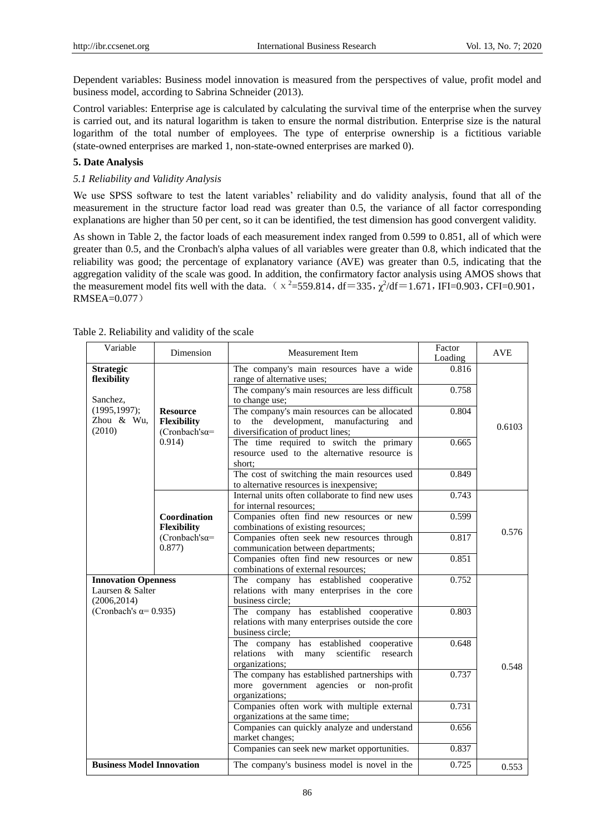Dependent variables: Business model innovation is measured from the perspectives of value, profit model and business model, according to Sabrina Schneider (2013).

Control variables: Enterprise age is calculated by calculating the survival time of the enterprise when the survey is carried out, and its natural logarithm is taken to ensure the normal distribution. Enterprise size is the natural logarithm of the total number of employees. The type of enterprise ownership is a fictitious variable (state-owned enterprises are marked 1, non-state-owned enterprises are marked 0).

# **5. Date Analysis**

## *5.1 Reliability and Validity Analysis*

We use SPSS software to test the latent variables' reliability and do validity analysis, found that all of the measurement in the structure factor load read was greater than 0.5, the variance of all factor corresponding explanations are higher than 50 per cent, so it can be identified, the test dimension has good convergent validity.

As shown in Table 2, the factor loads of each measurement index ranged from 0.599 to 0.851, all of which were greater than 0.5, and the Cronbach's alpha values of all variables were greater than 0.8, which indicated that the reliability was good; the percentage of explanatory variance (AVE) was greater than 0.5, indicating that the aggregation validity of the scale was good. In addition, the confirmatory factor analysis using AMOS shows that the measurement model fits well with the data.  $(x^2=559.814, df=335, \chi^2/df=1.671, IFI=0.903, CFI=0.901,$ RMSEA=0.077)

| Variable                                                                                        | Dimension                                                    | Measurement Item                                                                                                                     | Factor<br>Loading | <b>AVE</b> |  |  |
|-------------------------------------------------------------------------------------------------|--------------------------------------------------------------|--------------------------------------------------------------------------------------------------------------------------------------|-------------------|------------|--|--|
| <b>Strategic</b><br>flexibility                                                                 |                                                              | The company's main resources have a wide<br>range of alternative uses;                                                               | 0.816             |            |  |  |
| Sanchez,                                                                                        |                                                              | The company's main resources are less difficult<br>to change use;                                                                    | 0.758             |            |  |  |
| (1995, 1997);<br>Zhou & Wu,<br>(2010)                                                           | <b>Resource</b><br><b>Flexibility</b><br>$(Chobach's\alpha=$ | The company's main resources can be allocated<br>the development,<br>manufacturing<br>and<br>to<br>diversification of product lines; | 0.804             | 0.6103     |  |  |
|                                                                                                 | 0.914)                                                       | The time required to switch the primary<br>resource used to the alternative resource is<br>short:                                    | 0.665             |            |  |  |
|                                                                                                 |                                                              | The cost of switching the main resources used<br>to alternative resources is inexpensive;                                            | 0.849             |            |  |  |
|                                                                                                 |                                                              | Internal units often collaborate to find new uses<br>for internal resources;                                                         | 0.743             |            |  |  |
|                                                                                                 | Coordination<br><b>Flexibility</b>                           | Companies often find new resources or new<br>combinations of existing resources;                                                     | 0.599             | 0.576      |  |  |
|                                                                                                 | (Cronbach'sa=<br>0.877)                                      | Companies often seek new resources through<br>communication between departments;                                                     | 0.817             |            |  |  |
|                                                                                                 |                                                              | Companies often find new resources or new<br>combinations of external resources;                                                     | 0.851             |            |  |  |
| <b>Innovation Openness</b><br>Laursen & Salter<br>(2006, 2014)<br>(Cronbach's $\alpha$ = 0.935) |                                                              | The company has established cooperative<br>relations with many enterprises in the core<br>business circle:                           | 0.752             |            |  |  |
|                                                                                                 |                                                              | The company has established cooperative<br>relations with many enterprises outside the core<br>business circle;                      | 0.803             |            |  |  |
|                                                                                                 |                                                              | The company has established cooperative<br>scientific<br>relations with<br>research<br>many<br>organizations;                        | 0.648             | 0.548      |  |  |
|                                                                                                 |                                                              | The company has established partnerships with<br>more government agencies or non-profit<br>organizations;                            | 0.737             |            |  |  |
|                                                                                                 |                                                              | Companies often work with multiple external<br>organizations at the same time;                                                       | 0.731             |            |  |  |
|                                                                                                 |                                                              | Companies can quickly analyze and understand<br>market changes;                                                                      |                   |            |  |  |
|                                                                                                 |                                                              | Companies can seek new market opportunities.                                                                                         | 0.837             |            |  |  |
| <b>Business Model Innovation</b>                                                                |                                                              | The company's business model is novel in the                                                                                         | 0.725             | 0.553      |  |  |

Table 2. Reliability and validity of the scale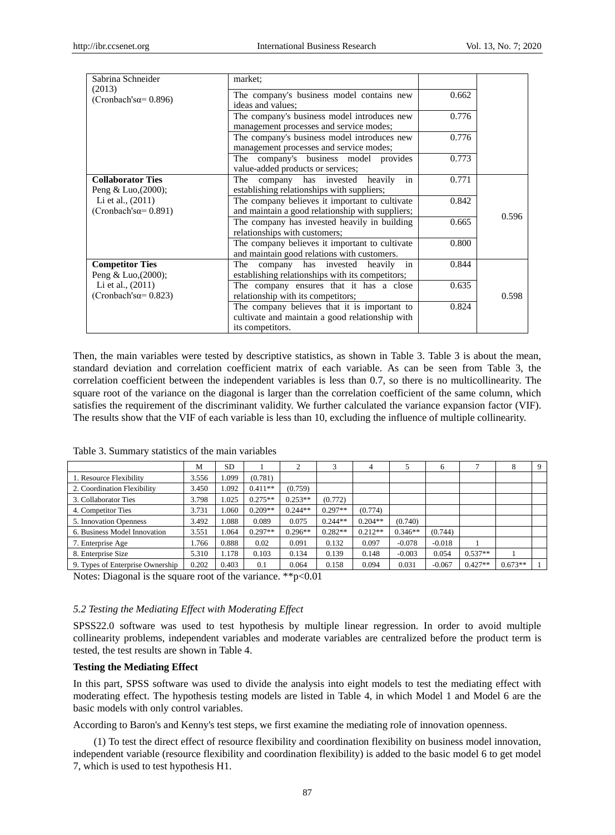| Sabrina Schneider                                  | market:                                                                                                             |       |       |
|----------------------------------------------------|---------------------------------------------------------------------------------------------------------------------|-------|-------|
| (2013)<br>$(Cronbach's\alpha = 0.896)$             | The company's business model contains new<br>ideas and values;                                                      | 0.662 |       |
|                                                    | The company's business model introduces new<br>management processes and service modes;                              | 0.776 |       |
|                                                    | The company's business model introduces new<br>management processes and service modes;                              | 0.776 |       |
|                                                    | The company's business model provides<br>value-added products or services;                                          | 0.773 |       |
| <b>Collaborator Ties</b><br>Peng & Luo, $(2000)$ ; | in<br>The<br>company has invested<br>heavily<br>establishing relationships with suppliers;                          | 0.771 |       |
| Li et al., $(2011)$<br>$(Cronbach's\alpha=0.891)$  | The company believes it important to cultivate<br>and maintain a good relationship with suppliers;                  | 0.842 |       |
|                                                    | The company has invested heavily in building<br>relationships with customers;                                       | 0.665 | 0.596 |
|                                                    | The company believes it important to cultivate<br>and maintain good relations with customers.                       | 0.800 |       |
| <b>Competitor Ties</b><br>Peng & Luo, $(2000)$ ;   | company has invested heavily<br>in<br>The<br>establishing relationships with its competitors;                       | 0.844 |       |
| Li et al., (2011)<br>(Cronbach's $\alpha$ = 0.823) | The company ensures that it has a close<br>relationship with its competitors;                                       | 0.635 | 0.598 |
|                                                    | The company believes that it is important to<br>cultivate and maintain a good relationship with<br>its competitors. | 0.824 |       |

Then, the main variables were tested by descriptive statistics, as shown in Table 3. Table 3 is about the mean, standard deviation and correlation coefficient matrix of each variable. As can be seen from Table 3, the correlation coefficient between the independent variables is less than 0.7, so there is no multicollinearity. The square root of the variance on the diagonal is larger than the correlation coefficient of the same column, which satisfies the requirement of the discriminant validity. We further calculated the variance expansion factor (VIF). The results show that the VIF of each variable is less than 10, excluding the influence of multiple collinearity.

|                                  | M     | <b>SD</b> |           |           | 3         | 4         |           | 6        |           | $\circ$   | 9 |
|----------------------------------|-------|-----------|-----------|-----------|-----------|-----------|-----------|----------|-----------|-----------|---|
| 1. Resource Flexibility          | 3.556 | .099      | (0.781)   |           |           |           |           |          |           |           |   |
| 2. Coordination Flexibility      | 3.450 | 1.092     | $0.411**$ | (0.759)   |           |           |           |          |           |           |   |
| 3. Collaborator Ties             | 3.798 | 1.025     | $0.275**$ | $0.253**$ | (0.772)   |           |           |          |           |           |   |
| 4. Competitor Ties               | 3.731 | .060      | $0.209**$ | $0.244**$ | $0.297**$ | (0.774)   |           |          |           |           |   |
| 5. Innovation Openness           | 3.492 | .088      | 0.089     | 0.075     | $0.244**$ | $0.204**$ | (0.740)   |          |           |           |   |
| 6. Business Model Innovation     | 3.551 | 1.064     | $0.297**$ | $0.296**$ | $0.282**$ | $0.212**$ | $0.346**$ | (0.744)  |           |           |   |
| 7. Enterprise Age                | 1.766 | 0.888     | 0.02      | 0.091     | 0.132     | 0.097     | $-0.078$  | $-0.018$ |           |           |   |
| 8. Enterprise Size               | 5.310 | 1.178     | 0.103     | 0.134     | 0.139     | 0.148     | $-0.003$  | 0.054    | $0.537**$ |           |   |
| 9. Types of Enterprise Ownership | 0.202 | 0.403     | 0.1       | 0.064     | 0.158     | 0.094     | 0.031     | $-0.067$ | $0.427**$ | $0.673**$ |   |

Table 3. Summary statistics of the main variables

Notes: Diagonal is the square root of the variance. \*\*p<0.01

## *5.2 Testing the Mediating Effect with Moderating Effect*

SPSS22.0 software was used to test hypothesis by multiple linear regression. In order to avoid multiple collinearity problems, independent variables and moderate variables are centralized before the product term is tested, the test results are shown in Table 4.

## **Testing the Mediating Effect**

In this part, SPSS software was used to divide the analysis into eight models to test the mediating effect with moderating effect. The hypothesis testing models are listed in Table 4, in which Model 1 and Model 6 are the basic models with only control variables.

According to Baron's and Kenny's test steps, we first examine the mediating role of innovation openness.

(1) To test the direct effect of resource flexibility and coordination flexibility on business model innovation, independent variable (resource flexibility and coordination flexibility) is added to the basic model 6 to get model 7, which is used to test hypothesis H1.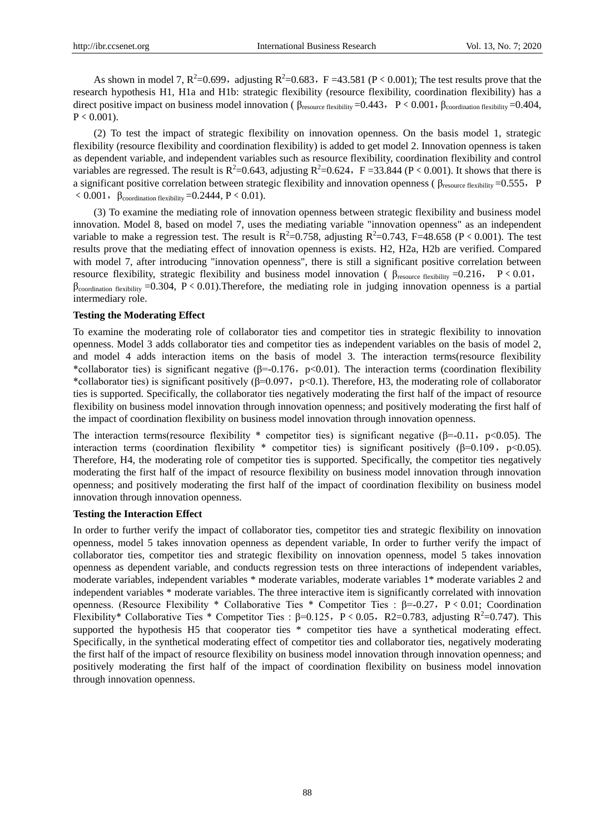As shown in model 7,  $R^2$ =0.699, adjusting  $R^2$ =0.683, F =43.581 (P < 0.001); The test results prove that the research hypothesis H1, H1a and H1b: strategic flexibility (resource flexibility, coordination flexibility) has a direct positive impact on business model innovation ( $\beta_{\text{resource flexibility}} = 0.443$ , P < 0.001,  $\beta_{\text{coordination flexibility}} = 0.404$ ,  $P \leq 0.001$ .

(2) To test the impact of strategic flexibility on innovation openness. On the basis model 1, strategic flexibility (resource flexibility and coordination flexibility) is added to get model 2. Innovation openness is taken as dependent variable, and independent variables such as resource flexibility, coordination flexibility and control variables are regressed. The result is  $R^2=0.643$ , adjusting  $R^2=0.624$ ,  $F=33.844$  (P < 0.001). It shows that there is a significant positive correlation between strategic flexibility and innovation openness ( $\beta_{\text{resource flexibility}} = 0.555$ , P  $\leq 0.001$ ,  $\beta_{\text{coordination flexibility}} = 0.2444$ , P $\leq 0.01$ ).

(3) To examine the mediating role of innovation openness between strategic flexibility and business model innovation. Model 8, based on model 7, uses the mediating variable "innovation openness" as an independent variable to make a regression test. The result is  $R^2=0.758$ , adjusting  $R^2=0.743$ , F=48.658 (P < 0.001). The test results prove that the mediating effect of innovation openness is exists. H2, H2a, H2b are verified. Compared with model 7, after introducing "innovation openness", there is still a significant positive correlation between resource flexibility, strategic flexibility and business model innovation ( $β_{\text{resource flexibility}} = 0.216$ ,  $P < 0.01$ ,  $\beta$ coordination flexibility =0.304, P < 0.01). Therefore, the mediating role in judging innovation openness is a partial intermediary role.

## **Testing the Moderating Effect**

To examine the moderating role of collaborator ties and competitor ties in strategic flexibility to innovation openness. Model 3 adds collaborator ties and competitor ties as independent variables on the basis of model 2, and model 4 adds interaction items on the basis of model 3. The interaction terms(resource flexibility \*collaborator ties) is significant negative ( $\beta$ =-0.176, p<0.01). The interaction terms (coordination flexibility \*collaborator ties) is significant positively ( $\beta$ =0.097, p<0.1). Therefore, H3, the moderating role of collaborator ties is supported. Specifically, the collaborator ties negatively moderating the first half of the impact of resource flexibility on business model innovation through innovation openness; and positively moderating the first half of the impact of coordination flexibility on business model innovation through innovation openness.

The interaction terms(resource flexibility \* competitor ties) is significant negative ( $\beta$ =-0.11, p<0.05). The interaction terms (coordination flexibility \* competitor ties) is significant positively ( $\beta$ =0.109, p<0.05). Therefore, H4, the moderating role of competitor ties is supported. Specifically, the competitor ties negatively moderating the first half of the impact of resource flexibility on business model innovation through innovation openness; and positively moderating the first half of the impact of coordination flexibility on business model innovation through innovation openness.

## **Testing the Interaction Effect**

In order to further verify the impact of collaborator ties, competitor ties and strategic flexibility on innovation openness, model 5 takes innovation openness as dependent variable, In order to further verify the impact of collaborator ties, competitor ties and strategic flexibility on innovation openness, model 5 takes innovation openness as dependent variable, and conducts regression tests on three interactions of independent variables, moderate variables, independent variables \* moderate variables, moderate variables 1\* moderate variables 2 and independent variables \* moderate variables. The three interactive item is significantly correlated with innovation openness. (Resource Flexibility \* Collaborative Ties \* Competitor Ties : β=-0.27, P < 0.01; Coordination Flexibility\* Collaborative Ties \* Competitor Ties : β=0.125, P < 0.05, R2=0.783, adjusting R<sup>2</sup>=0.747). This supported the hypothesis H5 that cooperator ties \* competitor ties have a synthetical moderating effect. Specifically, in the synthetical moderating effect of competitor ties and collaborator ties, negatively moderating the first half of the impact of resource flexibility on business model innovation through innovation openness; and positively moderating the first half of the impact of coordination flexibility on business model innovation through innovation openness.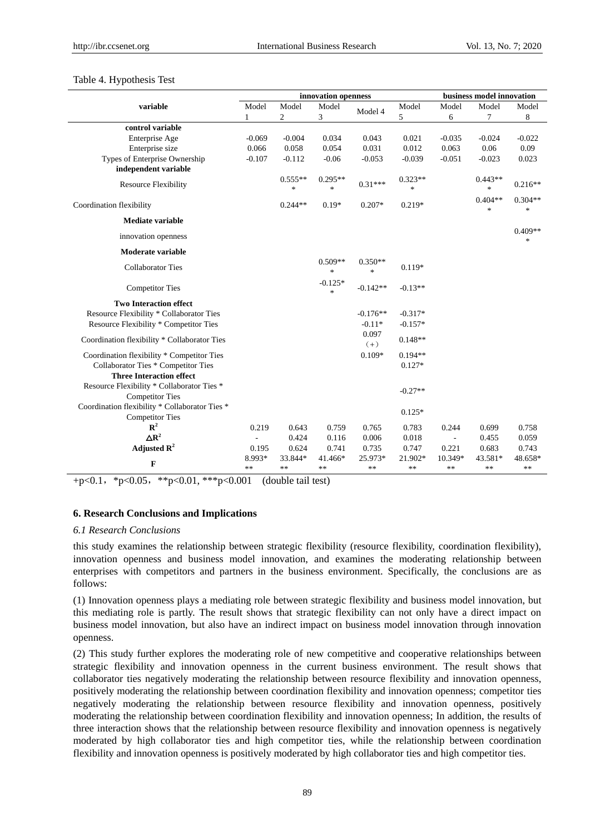## Table 4. Hypothesis Test

|                                                |                         |                     | innovation openness                            | business model innovation |                     |               |                     |                     |
|------------------------------------------------|-------------------------|---------------------|------------------------------------------------|---------------------------|---------------------|---------------|---------------------|---------------------|
| variable                                       | Model                   | Model               | Model                                          |                           | Model               | Model         | Model               | Model               |
|                                                | 1                       | 2                   | 3                                              | Model 4                   | 5                   | 6             | 7                   | 8                   |
| control variable                               |                         |                     |                                                |                           |                     |               |                     |                     |
| Enterprise Age                                 | $-0.069$                | $-0.004$            | 0.034                                          | 0.043                     | 0.021               | $-0.035$      | $-0.024$            | $-0.022$            |
| Enterprise size                                | 0.066                   | 0.058               | 0.054                                          | 0.031                     | 0.012               | 0.063         | 0.06                | 0.09                |
| Types of Enterprise Ownership                  | $-0.107$                | $-0.112$            | $-0.06$                                        | $-0.053$                  | $-0.039$            | $-0.051$      | $-0.023$            | 0.023               |
| independent variable                           |                         |                     |                                                |                           |                     |               |                     |                     |
| <b>Resource Flexibility</b>                    |                         | $0.555**$<br>$\ast$ | $0.295**$<br>$\frac{d\mathbf{r}}{d\mathbf{r}}$ | $0.31***$                 | $0.323**$<br>$\ast$ |               | $0.443**$<br>$\ast$ | $0.216**$           |
| Coordination flexibility                       |                         | $0.244**$           | $0.19*$                                        | $0.207*$                  | $0.219*$            |               | $0.404**$<br>$\ast$ | $0.304**$<br>$\ast$ |
| <b>Mediate variable</b>                        |                         |                     |                                                |                           |                     |               |                     |                     |
| innovation openness                            |                         |                     |                                                |                           |                     |               |                     | $0.409**$<br>$\ast$ |
| Moderate variable                              |                         |                     |                                                |                           |                     |               |                     |                     |
| <b>Collaborator Ties</b>                       |                         |                     | $0.509**$<br>$\frac{d\mathbf{r}}{dt}$          | $0.350**$<br>\$           | $0.119*$            |               |                     |                     |
| <b>Competitor Ties</b>                         |                         |                     | $-0.125*$<br>$\frac{1}{2}$                     | $-0.142**$                | $-0.13**$           |               |                     |                     |
| <b>Two Interaction effect</b>                  |                         |                     |                                                |                           |                     |               |                     |                     |
| Resource Flexibility * Collaborator Ties       |                         |                     |                                                | $-0.176**$                | $-0.317*$           |               |                     |                     |
| Resource Flexibility * Competitor Ties         |                         |                     |                                                | $-0.11*$                  | $-0.157*$           |               |                     |                     |
| Coordination flexibility * Collaborator Ties   |                         |                     |                                                | 0.097<br>$(+)$            | $0.148**$           |               |                     |                     |
| Coordination flexibility * Competitor Ties     |                         |                     |                                                | $0.109*$                  | $0.194**$           |               |                     |                     |
| Collaborator Ties * Competitor Ties            |                         |                     |                                                |                           | $0.127*$            |               |                     |                     |
| <b>Three Interaction effect</b>                |                         |                     |                                                |                           |                     |               |                     |                     |
| Resource Flexibility * Collaborator Ties *     |                         |                     |                                                |                           | $-0.27**$           |               |                     |                     |
| <b>Competitor Ties</b>                         |                         |                     |                                                |                           |                     |               |                     |                     |
| Coordination flexibility * Collaborator Ties * |                         |                     |                                                |                           | $0.125*$            |               |                     |                     |
| <b>Competitor Ties</b>                         |                         |                     |                                                |                           |                     |               |                     |                     |
| ${\bf R}^2$                                    | 0.219                   | 0.643               | 0.759                                          | 0.765                     | 0.783               | 0.244         | 0.699               | 0.758               |
| $\triangle R^2$                                |                         | 0.424               | 0.116                                          | 0.006                     | 0.018               | $\frac{1}{2}$ | 0.455               | 0.059               |
| Adjusted $\mathbb{R}^2$                        | 0.195                   | 0.624               | 0.741                                          | 0.735                     | 0.747               | 0.221         | 0.683               | 0.743               |
| F                                              | 8.993*<br>$\ast$ $\ast$ | 33.844*<br>$\ast$   | 41.466*<br>$\ast$                              | 25.973*<br>**             | 21.902*<br>**       | 10.349*<br>** | 43.581*<br>**       | 48.658*<br>**       |

+p<0.1, \*p<0.05, \*\*p<0.01, \*\*\*p<0.001 (double tail test)

#### **6. Research Conclusions and Implications**

#### *6.1 Research Conclusions*

this study examines the relationship between strategic flexibility (resource flexibility, coordination flexibility), innovation openness and business model innovation, and examines the moderating relationship between enterprises with competitors and partners in the business environment. Specifically, the conclusions are as follows:

(1) Innovation openness plays a mediating role between strategic flexibility and business model innovation, but this mediating role is partly. The result shows that strategic flexibility can not only have a direct impact on business model innovation, but also have an indirect impact on business model innovation through innovation openness.

(2) This study further explores the moderating role of new competitive and cooperative relationships between strategic flexibility and innovation openness in the current business environment. The result shows that collaborator ties negatively moderating the relationship between resource flexibility and innovation openness, positively moderating the relationship between coordination flexibility and innovation openness; competitor ties negatively moderating the relationship between resource flexibility and innovation openness, positively moderating the relationship between coordination flexibility and innovation openness; In addition, the results of three interaction shows that the relationship between resource flexibility and innovation openness is negatively moderated by high collaborator ties and high competitor ties, while the relationship between coordination flexibility and innovation openness is positively moderated by high collaborator ties and high competitor ties.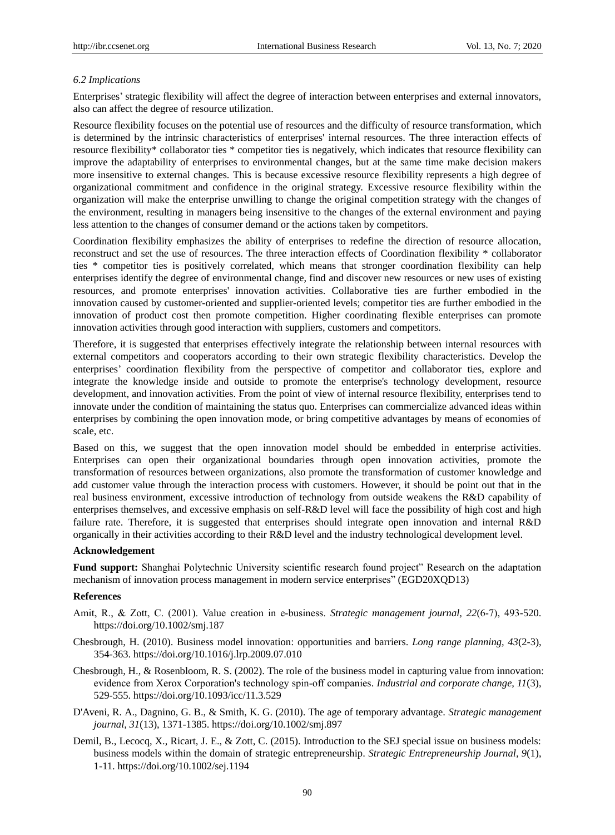## *6.2 Implications*

Enterprises' strategic flexibility will affect the degree of interaction between enterprises and external innovators, also can affect the degree of resource utilization.

Resource flexibility focuses on the potential use of resources and the difficulty of resource transformation, which is determined by the intrinsic characteristics of enterprises' internal resources. The three interaction effects of resource flexibility\* collaborator ties \* competitor ties is negatively, which indicates that resource flexibility can improve the adaptability of enterprises to environmental changes, but at the same time make decision makers more insensitive to external changes. This is because excessive resource flexibility represents a high degree of organizational commitment and confidence in the original strategy. Excessive resource flexibility within the organization will make the enterprise unwilling to change the original competition strategy with the changes of the environment, resulting in managers being insensitive to the changes of the external environment and paying less attention to the changes of consumer demand or the actions taken by competitors.

Coordination flexibility emphasizes the ability of enterprises to redefine the direction of resource allocation, reconstruct and set the use of resources. The three interaction effects of Coordination flexibility \* collaborator ties \* competitor ties is positively correlated, which means that stronger coordination flexibility can help enterprises identify the degree of environmental change, find and discover new resources or new uses of existing resources, and promote enterprises' innovation activities. Collaborative ties are further embodied in the innovation caused by customer-oriented and supplier-oriented levels; competitor ties are further embodied in the innovation of product cost then promote competition. Higher coordinating flexible enterprises can promote innovation activities through good interaction with suppliers, customers and competitors.

Therefore, it is suggested that enterprises effectively integrate the relationship between internal resources with external competitors and cooperators according to their own strategic flexibility characteristics. Develop the enterprises' coordination flexibility from the perspective of competitor and collaborator ties, explore and integrate the knowledge inside and outside to promote the enterprise's technology development, resource development, and innovation activities. From the point of view of internal resource flexibility, enterprises tend to innovate under the condition of maintaining the status quo. Enterprises can commercialize advanced ideas within enterprises by combining the open innovation mode, or bring competitive advantages by means of economies of scale, etc.

Based on this, we suggest that the open innovation model should be embedded in enterprise activities. Enterprises can open their organizational boundaries through open innovation activities, promote the transformation of resources between organizations, also promote the transformation of customer knowledge and add customer value through the interaction process with customers. However, it should be point out that in the real business environment, excessive introduction of technology from outside weakens the R&D capability of enterprises themselves, and excessive emphasis on self-R&D level will face the possibility of high cost and high failure rate. Therefore, it is suggested that enterprises should integrate open innovation and internal R&D organically in their activities according to their R&D level and the industry technological development level.

#### **Acknowledgement**

**Fund support:** Shanghai Polytechnic University scientific research found project" Research on the adaptation mechanism of innovation process management in modern service enterprises" (EGD20XQD13)

#### **References**

- Amit, R., & Zott, C. (2001). Value creation in e‐business. *Strategic management journal, 22*(6‐7), 493-520. https://doi.org/10.1002/smj.187
- Chesbrough, H. (2010). Business model innovation: opportunities and barriers. *Long range planning, 43*(2-3), 354-363. https://doi.org/10.1016/j.lrp.2009.07.010
- Chesbrough, H., & Rosenbloom, R. S. (2002). The role of the business model in capturing value from innovation: evidence from Xerox Corporation's technology spin‐off companies. *Industrial and corporate change, 11*(3), 529-555. https://doi.org/10.1093/icc/11.3.529
- D'Aveni, R. A., Dagnino, G. B., & Smith, K. G. (2010). The age of temporary advantage. *Strategic management journal, 31*(13), 1371-1385. https://doi.org/10.1002/smj.897
- Demil, B., Lecocq, X., Ricart, J. E., & Zott, C. (2015). Introduction to the SEJ special issue on business models: business models within the domain of strategic entrepreneurship. *Strategic Entrepreneurship Journal, 9*(1), 1-11. https://doi.org/10.1002/sej.1194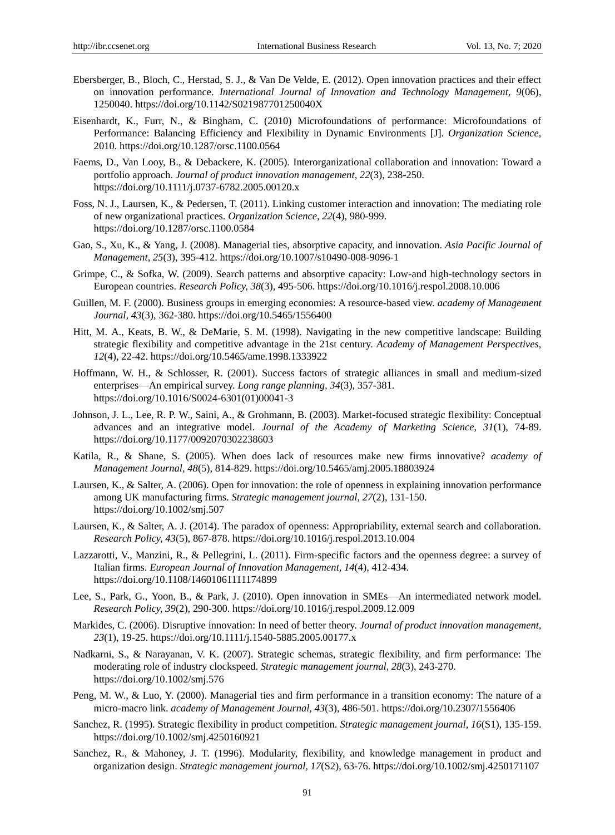- Ebersberger, B., Bloch, C., Herstad, S. J., & Van De Velde, E. (2012). Open innovation practices and their effect on innovation performance. *International Journal of Innovation and Technology Management, 9*(06), 1250040. https://doi.org/10.1142/S021987701250040X
- Eisenhardt, K., Furr, N., & Bingham, C. (2010) Microfoundations of performance: Microfoundations of Performance: Balancing Efficiency and Flexibility in Dynamic Environments [J]. *Organization Science,*  2010. https://doi.org/10.1287/orsc.1100.0564
- Faems, D., Van Looy, B., & Debackere, K. (2005). Interorganizational collaboration and innovation: Toward a portfolio approach. *Journal of product innovation management, 22*(3), 238-250. https://doi.org/10.1111/j.0737-6782.2005.00120.x
- Foss, N. J., Laursen, K., & Pedersen, T. (2011). Linking customer interaction and innovation: The mediating role of new organizational practices. *Organization Science, 22*(4), 980-999. https://doi.org/10.1287/orsc.1100.0584
- Gao, S., Xu, K., & Yang, J. (2008). Managerial ties, absorptive capacity, and innovation. *Asia Pacific Journal of Management, 25*(3), 395-412. https://doi.org/10.1007/s10490-008-9096-1
- Grimpe, C., & Sofka, W. (2009). Search patterns and absorptive capacity: Low-and high-technology sectors in European countries. *Research Policy, 38*(3), 495-506. https://doi.org/10.1016/j.respol.2008.10.006
- Guillen, M. F. (2000). Business groups in emerging economies: A resource-based view. *academy of Management Journal, 43*(3), 362-380. https://doi.org/10.5465/1556400
- Hitt, M. A., Keats, B. W., & DeMarie, S. M. (1998). Navigating in the new competitive landscape: Building strategic flexibility and competitive advantage in the 21st century. *Academy of Management Perspectives, 12*(4), 22-42. https://doi.org/10.5465/ame.1998.1333922
- Hoffmann, W. H., & Schlosser, R. (2001). Success factors of strategic alliances in small and medium-sized enterprises—An empirical survey. *Long range planning, 34*(3), 357-381. https://doi.org/10.1016/S0024-6301(01)00041-3
- Johnson, J. L., Lee, R. P. W., Saini, A., & Grohmann, B. (2003). Market-focused strategic flexibility: Conceptual advances and an integrative model. *Journal of the Academy of Marketing Science, 31*(1), 74-89. https://doi.org/10.1177/0092070302238603
- Katila, R., & Shane, S. (2005). When does lack of resources make new firms innovative? *academy of Management Journal, 48*(5), 814-829. https://doi.org/10.5465/amj.2005.18803924
- Laursen, K., & Salter, A. (2006). Open for innovation: the role of openness in explaining innovation performance among UK manufacturing firms. *Strategic management journal, 27*(2), 131-150. https://doi.org/10.1002/smj.507
- Laursen, K., & Salter, A. J. (2014). The paradox of openness: Appropriability, external search and collaboration. *Research Policy, 43*(5), 867-878. https://doi.org/10.1016/j.respol.2013.10.004
- Lazzarotti, V., Manzini, R., & Pellegrini, L. (2011). Firm-specific factors and the openness degree: a survey of Italian firms. *European Journal of Innovation Management, 14*(4), 412-434. https://doi.org/10.1108/14601061111174899
- Lee, S., Park, G., Yoon, B., & Park, J. (2010). Open innovation in SMEs—An intermediated network model. *Research Policy, 39*(2), 290-300. https://doi.org/10.1016/j.respol.2009.12.009
- Markides, C. (2006). Disruptive innovation: In need of better theory. *Journal of product innovation management, 23*(1), 19-25. https://doi.org/10.1111/j.1540-5885.2005.00177.x
- Nadkarni, S., & Narayanan, V. K. (2007). Strategic schemas, strategic flexibility, and firm performance: The moderating role of industry clockspeed. *Strategic management journal, 28*(3), 243-270. https://doi.org/10.1002/smj.576
- Peng, M. W., & Luo, Y. (2000). Managerial ties and firm performance in a transition economy: The nature of a micro-macro link. *academy of Management Journal, 43*(3), 486-501. https://doi.org/10.2307/1556406
- Sanchez, R. (1995). Strategic flexibility in product competition. *Strategic management journal, 16*(S1), 135-159. https://doi.org/10.1002/smj.4250160921
- Sanchez, R., & Mahoney, J. T. (1996). Modularity, flexibility, and knowledge management in product and organization design. *Strategic management journal, 17*(S2), 63-76. https://doi.org/10.1002/smj.4250171107